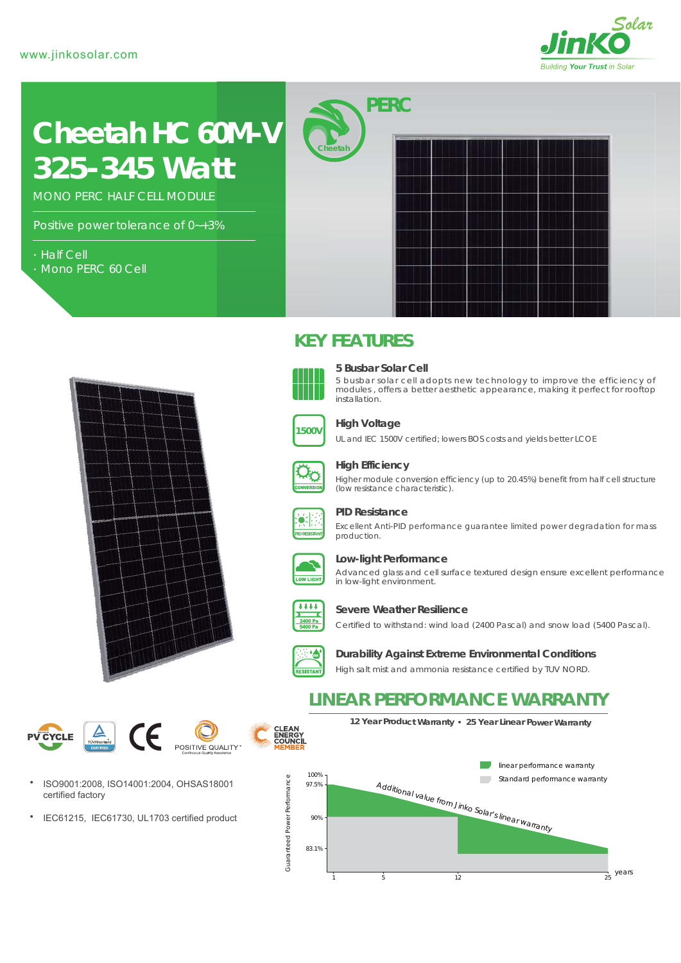

# *325-345 Watt* **Cheetah HC 60M-V**

MONO PERC HALF CELL MODULE

Positive power tolerance of 0~+3%

- Half Cell
- Mono PERC 60 Cell



## **KEY FEATURES**



#### **5 Busbar Solar Cell**

5 busbar solar cell adopts new technology to improve the efficiency of modules , offers a better aesthetic appearance, making it perfect for rooftop installation.



## **High Voltage**

UL and IEC 1500V certified; lowers BOS costs and yields better LCOE



#### **High Efficiency**

Higher module conversion efficiency (up to 20.45%) benefit from half cell structure (low resistance characteristic).



#### **PID Resistance**

Excellent Anti-PID performance guarantee limited power degradation for mass production.



#### **Low-light Performance**

Advanced glass and cell surface textured design ensure excellent performance in low-light environment.



#### **Severe Weather Resilience**

Certified to withstand: wind load (2400 Pascal) and snow load (5400 Pascal).



**CLEAN<br>ENERGY<br>COUNCIL** 

**Durability Against Extreme Environmental Conditions**

High salt mist and ammonia resistance certified by TUV NORD.

# **LINEAR PERFORMANCE WARRANTY**

**12 Year Product Warranty 25 Year Linear Power Warranty**

CE **PV CYCLE** POSITIVE QUALITY



 $\bullet$ IEC61215, IEC61730, UL1703 certified product

linear performance warranty 100%  $\label{eq:ad} \frac{A d_{\text{d}}}{\sqrt{2}}$  Standard performance warranty<br>  $\frac{A d_{\text{d}}}{\sqrt{2}}$  Solar's linear warranty Guaranteed Power Performance Guaranteed Power Performance 97.5% 90% 83.1% years  $1$  5  $12$  25